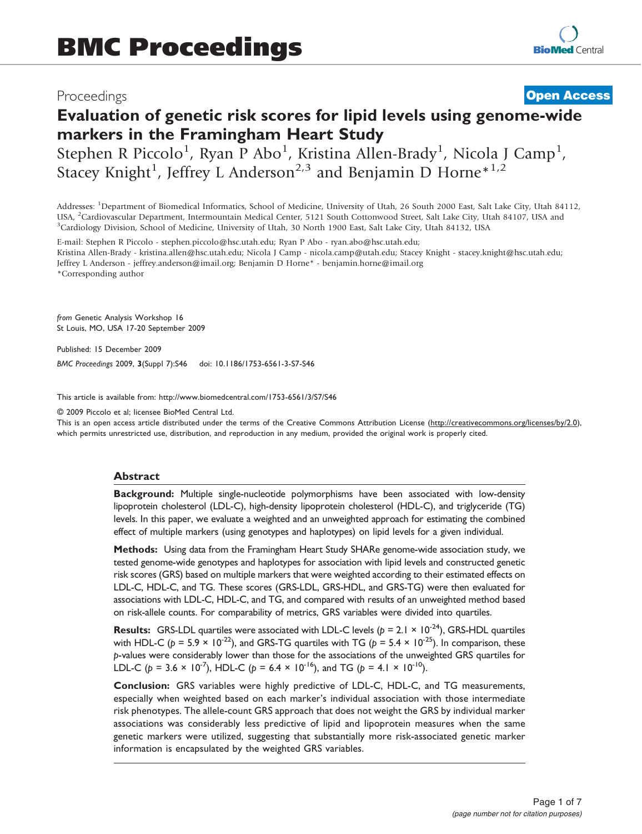## Proceedings

# **[Open Access](http://www.biomedcentral.com/info/about/charter/)**

# Evaluation of genetic risk scores for lipid levels using genome-wide markers in the Framingham Heart Study

Stephen R Piccolo<sup>1</sup>, Ryan P Abo<sup>1</sup>, Kristina Allen-Brady<sup>1</sup>, Nicola J Camp<sup>1</sup>, Stacey Knight<sup>1</sup>, Jeffrey L Anderson<sup>2,3</sup> and Benjamin D Horne<sup>\*1,2</sup>

Addresses: <sup>1</sup> Department of Biomedical Informatics, School of Medicine, University of Utah, 26 South 2000 East, Salt Lake City, Utah 84112, USA, <sup>2</sup>Cardiovascular Department, Intermountain Medical Center, 5121 South Cottonwood Street, Salt Lake City, Utah 84107, USA and<br><sup>3</sup>Cardiology Division, School of Medicine, University of Utah 30 North 1900 Fast, Salt Lak <sup>3</sup>Cardiology Division, School of Medicine, University of Utah, 30 North 1900 East, Salt Lake City, Utah 84132, USA

E-mail: Stephen R Piccolo - [stephen.piccolo@hsc.utah.edu](mailto:stephen.piccolo@hsc.utah.edu); Ryan P Abo - [ryan.abo@hsc.utah.edu](mailto:ryan.abo@hsc.utah.edu); Kristina Allen-Brady - [kristina.allen@hsc.utah.edu;](mailto:kristina.allen@hsc.utah.edu) Nicola J Camp - [nicola.camp@utah.edu;](mailto:nicola.camp@utah.edu) Stacey Knight - [stacey.knight@hsc.utah.edu](mailto:stacey.knight@hsc.utah.edu); Jeffrey L Anderson - [jeffrey.anderson@imail.org](mailto:jeffrey.anderson@imail.org); Benjamin D Horne\* - [benjamin.horne@imail.org](mailto:benjamin.horne@imail.org) \*Corresponding author

from Genetic Analysis Workshop 16 St Louis, MO, USA 17-20 September 2009

Published: 15 December 2009 BMC Proceedings 2009, 3(Suppl 7):S46 doi: 10.1186/1753-6561-3-S7-S46

This article is available from: http://www.biomedcentral.com/1753-6561/3/S7/S46

© 2009 Piccolo et al; licensee BioMed Central Ltd.

This is an open access article distributed under the terms of the Creative Commons Attribution License [\(http://creativecommons.org/licenses/by/2.0\)](http://creativecommons.org/licenses/by/2.0), which permits unrestricted use, distribution, and reproduction in any medium, provided the original work is properly cited.

#### Abstract

**Background:** Multiple single-nucleotide polymorphisms have been associated with low-density lipoprotein cholesterol (LDL-C), high-density lipoprotein cholesterol (HDL-C), and triglyceride (TG) levels. In this paper, we evaluate a weighted and an unweighted approach for estimating the combined effect of multiple markers (using genotypes and haplotypes) on lipid levels for a given individual.

Methods: Using data from the Framingham Heart Study SHARe genome-wide association study, we tested genome-wide genotypes and haplotypes for association with lipid levels and constructed genetic risk scores (GRS) based on multiple markers that were weighted according to their estimated effects on LDL-C, HDL-C, and TG. These scores (GRS-LDL, GRS-HDL, and GRS-TG) were then evaluated for associations with LDL-C, HDL-C, and TG, and compared with results of an unweighted method based on risk-allele counts. For comparability of metrics, GRS variables were divided into quartiles.

**Results:** GRS-LDL quartiles were associated with LDL-C levels ( $p = 2.1 \times 10^{-24}$ ), GRS-HDL quartiles with HDL-C ( $p = 5.9 \times 10^{-22}$ ), and GRS-TG quartiles with TG ( $p = 5.4 \times 10^{-25}$ ). In comparison, these p-values were considerably lower than those for the associations of the unweighted GRS quartiles for LDL-C ( $p = 3.6 \times 10^{-7}$ ), HDL-C ( $p = 6.4 \times 10^{-16}$ ), and TG ( $p = 4.1 \times 10^{-10}$ ).

Conclusion: GRS variables were highly predictive of LDL-C, HDL-C, and TG measurements, especially when weighted based on each marker's individual association with those intermediate risk phenotypes. The allele-count GRS approach that does not weight the GRS by individual marker associations was considerably less predictive of lipid and lipoprotein measures when the same genetic markers were utilized, suggesting that substantially more risk-associated genetic marker information is encapsulated by the weighted GRS variables.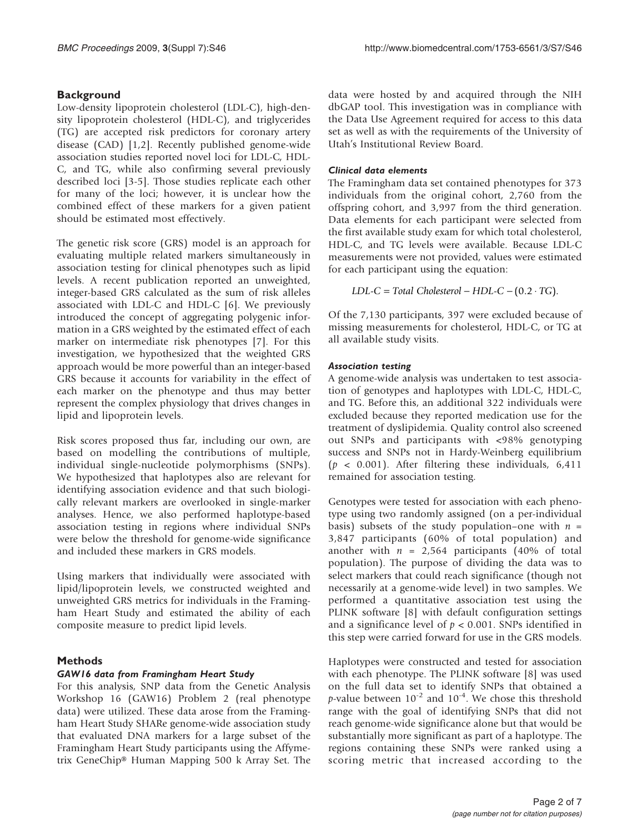## **Background**

Low-density lipoprotein cholesterol (LDL-C), high-density lipoprotein cholesterol (HDL-C), and triglycerides (TG) are accepted risk predictors for coronary artery disease (CAD) [[1](#page-6-0),[2](#page-6-0)]. Recently published genome-wide association studies reported novel loci for LDL-C, HDL-C, and TG, while also confirming several previously described loci [[3](#page-6-0)-[5](#page-6-0)]. Those studies replicate each other for many of the loci; however, it is unclear how the combined effect of these markers for a given patient should be estimated most effectively.

The genetic risk score (GRS) model is an approach for evaluating multiple related markers simultaneously in association testing for clinical phenotypes such as lipid levels. A recent publication reported an unweighted, integer-based GRS calculated as the sum of risk alleles associated with LDL-C and HDL-C [[6](#page-6-0)]. We previously introduced the concept of aggregating polygenic information in a GRS weighted by the estimated effect of each marker on intermediate risk phenotypes [[7](#page-6-0)]. For this investigation, we hypothesized that the weighted GRS approach would be more powerful than an integer-based GRS because it accounts for variability in the effect of each marker on the phenotype and thus may better represent the complex physiology that drives changes in lipid and lipoprotein levels.

Risk scores proposed thus far, including our own, are based on modelling the contributions of multiple, individual single-nucleotide polymorphisms (SNPs). We hypothesized that haplotypes also are relevant for identifying association evidence and that such biologically relevant markers are overlooked in single-marker analyses. Hence, we also performed haplotype-based association testing in regions where individual SNPs were below the threshold for genome-wide significance and included these markers in GRS models.

Using markers that individually were associated with lipid/lipoprotein levels, we constructed weighted and unweighted GRS metrics for individuals in the Framingham Heart Study and estimated the ability of each composite measure to predict lipid levels.

## Methods

## GAW16 data from Framingham Heart Study

For this analysis, SNP data from the Genetic Analysis Workshop 16 (GAW16) Problem 2 (real phenotype data) were utilized. These data arose from the Framingham Heart Study SHARe genome-wide association study that evaluated DNA markers for a large subset of the Framingham Heart Study participants using the Affymetrix GeneChip® Human Mapping 500 k Array Set. The data were hosted by and acquired through the NIH dbGAP tool. This investigation was in compliance with the Data Use Agreement required for access to this data set as well as with the requirements of the University of Utah's Institutional Review Board.

## Clinical data elements

The Framingham data set contained phenotypes for 373 individuals from the original cohort, 2,760 from the offspring cohort, and 3,997 from the third generation. Data elements for each participant were selected from the first available study exam for which total cholesterol, HDL-C, and TG levels were available. Because LDL-C measurements were not provided, values were estimated for each participant using the equation:

 $LDL-C = Total Cholesterol - HDL-C - (0.2 \cdot TG)$ .

Of the 7,130 participants, 397 were excluded because of missing measurements for cholesterol, HDL-C, or TG at all available study visits.

## Association testing

A genome-wide analysis was undertaken to test association of genotypes and haplotypes with LDL-C, HDL-C, and TG. Before this, an additional 322 individuals were excluded because they reported medication use for the treatment of dyslipidemia. Quality control also screened out SNPs and participants with <98% genotyping success and SNPs not in Hardy-Weinberg equilibrium ( $p \lt 0.001$ ). After filtering these individuals, 6,411 remained for association testing.

Genotypes were tested for association with each phenotype using two randomly assigned (on a per-individual basis) subsets of the study population–one with  $n =$ 3,847 participants (60% of total population) and another with  $n = 2,564$  participants (40% of total population). The purpose of dividing the data was to select markers that could reach significance (though not necessarily at a genome-wide level) in two samples. We performed a quantitative association test using the PLINK software [[8](#page-6-0)] with default configuration settings and a significance level of  $p < 0.001$ . SNPs identified in this step were carried forward for use in the GRS models.

Haplotypes were constructed and tested for association with each phenotype. The PLINK software [[8](#page-6-0)] was used on the full data set to identify SNPs that obtained a p-value between  $10^{-2}$  and  $10^{-4}$ . We chose this threshold range with the goal of identifying SNPs that did not reach genome-wide significance alone but that would be substantially more significant as part of a haplotype. The regions containing these SNPs were ranked using a scoring metric that increased according to the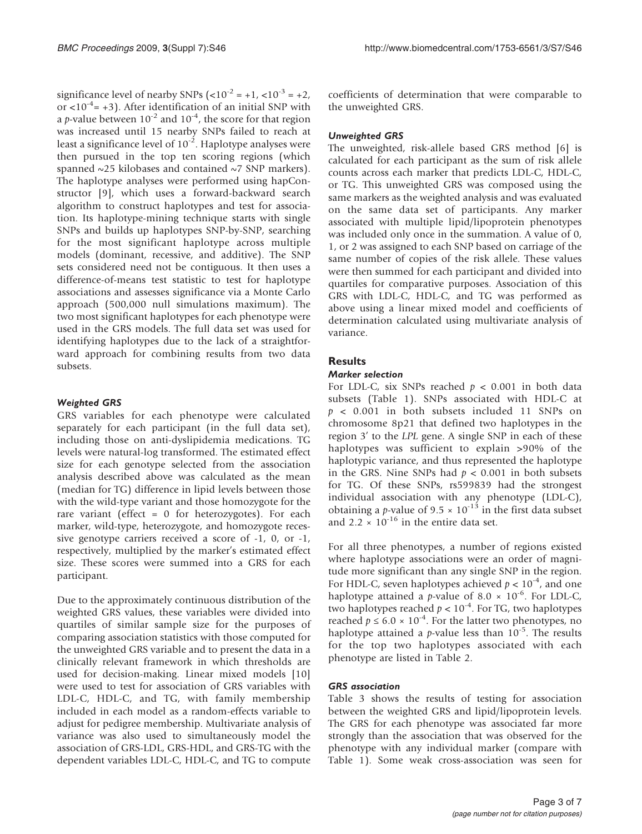significance level of nearby SNPs  $(<10^{-2} = +1, <10^{-3} = +2,$ or  $< 10^{-4}$  = +3). After identification of an initial SNP with a p-value between  $10^{-2}$  and  $10^{-4}$ , the score for that region was increased until 15 nearby SNPs failed to reach at least a significance level of  $10^{-2}$ . Haplotype analyses were then pursued in the top ten scoring regions (which spanned  $\sim$ 25 kilobases and contained  $\sim$ 7 SNP markers). The haplotype analyses were performed using hapConstructor [[9\]](#page-6-0), which uses a forward-backward search algorithm to construct haplotypes and test for association. Its haplotype-mining technique starts with single SNPs and builds up haplotypes SNP-by-SNP, searching for the most significant haplotype across multiple models (dominant, recessive, and additive). The SNP sets considered need not be contiguous. It then uses a difference-of-means test statistic to test for haplotype associations and assesses significance via a Monte Carlo approach (500,000 null simulations maximum). The two most significant haplotypes for each phenotype were used in the GRS models. The full data set was used for identifying haplotypes due to the lack of a straightforward approach for combining results from two data subsets.

#### Weighted GRS

GRS variables for each phenotype were calculated separately for each participant (in the full data set), including those on anti-dyslipidemia medications. TG levels were natural-log transformed. The estimated effect size for each genotype selected from the association analysis described above was calculated as the mean (median for TG) difference in lipid levels between those with the wild-type variant and those homozygote for the rare variant (effect =  $0$  for heterozygotes). For each marker, wild-type, heterozygote, and homozygote recessive genotype carriers received a score of -1, 0, or -1, respectively, multiplied by the marker's estimated effect size. These scores were summed into a GRS for each participant.

Due to the approximately continuous distribution of the weighted GRS values, these variables were divided into quartiles of similar sample size for the purposes of comparing association statistics with those computed for the unweighted GRS variable and to present the data in a clinically relevant framework in which thresholds are used for decision-making. Linear mixed models [[10\]](#page-6-0) were used to test for association of GRS variables with LDL-C, HDL-C, and TG, with family membership included in each model as a random-effects variable to adjust for pedigree membership. Multivariate analysis of variance was also used to simultaneously model the association of GRS-LDL, GRS-HDL, and GRS-TG with the dependent variables LDL-C, HDL-C, and TG to compute coefficients of determination that were comparable to the unweighted GRS.

#### Unweighted GRS

The unweighted, risk-allele based GRS method [\[6\]](#page-6-0) is calculated for each participant as the sum of risk allele counts across each marker that predicts LDL-C, HDL-C, or TG. This unweighted GRS was composed using the same markers as the weighted analysis and was evaluated on the same data set of participants. Any marker associated with multiple lipid/lipoprotein phenotypes was included only once in the summation. A value of 0, 1, or 2 was assigned to each SNP based on carriage of the same number of copies of the risk allele. These values were then summed for each participant and divided into quartiles for comparative purposes. Association of this GRS with LDL-C, HDL-C, and TG was performed as above using a linear mixed model and coefficients of determination calculated using multivariate analysis of variance.

### **Results**

#### Marker selection

For LDL-C, six SNPs reached  $p < 0.001$  in both data subsets ([Table 1](#page-3-0)). SNPs associated with HDL-C at  $p \le 0.001$  in both subsets included 11 SNPs on chromosome 8p21 that defined two haplotypes in the region 3' to the LPL gene. A single SNP in each of these haplotypes was sufficient to explain >90% of the haplotypic variance, and thus represented the haplotype in the GRS. Nine SNPs had  $p < 0.001$  in both subsets for TG. Of these SNPs, rs599839 had the strongest individual association with any phenotype (LDL-C), obtaining a *p*-value of  $9.5 \times 10^{-13}$  in the first data subset and  $2.2 \times 10^{-16}$  in the entire data set.

For all three phenotypes, a number of regions existed where haplotype associations were an order of magnitude more significant than any single SNP in the region. For HDL-C, seven haplotypes achieved  $p < 10^{-4}$ , and one haplotype attained a *p*-value of 8.0  $\times$  10<sup>-6</sup>. For LDL-C, two haplotypes reached  $p < 10^{-4}$ . For TG, two haplotypes reached  $p \le 6.0 \times 10^{-4}$ . For the latter two phenotypes, no haplotype attained a *p*-value less than  $10^{-5}$ . The results for the top two haplotypes associated with each phenotype are listed in [Table 2.](#page-3-0)

#### GRS association

[Table 3](#page-4-0) shows the results of testing for association between the weighted GRS and lipid/lipoprotein levels. The GRS for each phenotype was associated far more strongly than the association that was observed for the phenotype with any individual marker (compare with [Table 1\)](#page-3-0). Some weak cross-association was seen for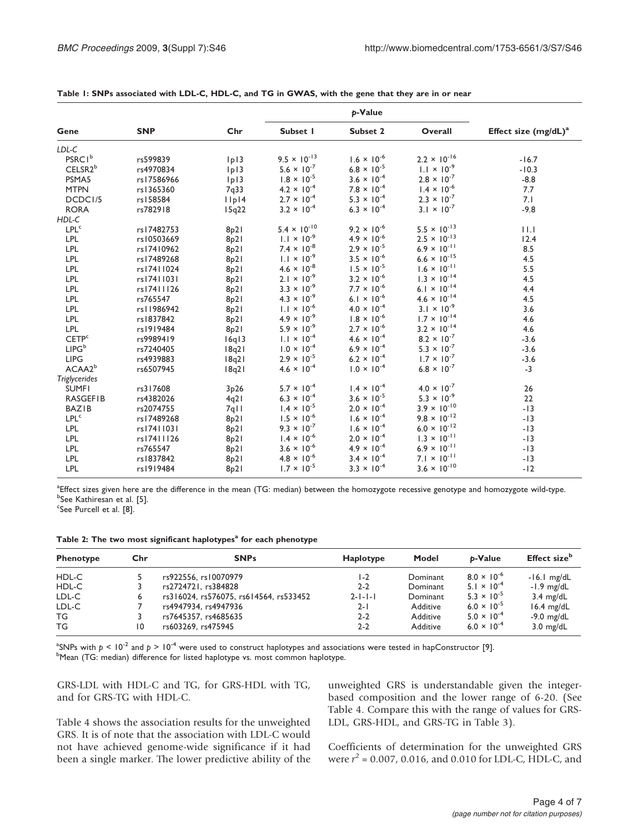|                     |              |                         |                       | p-Value              |                       |                           |  |
|---------------------|--------------|-------------------------|-----------------------|----------------------|-----------------------|---------------------------|--|
| Gene                | <b>SNP</b>   | Chr                     | Subset I              | Subset 2             | Overall               | Effect size $(mg/dL)^{a}$ |  |
| LDL-C               |              |                         |                       |                      |                       |                           |  |
| PSRCI <sup>b</sup>  | rs599839     | lp13                    | $9.5 \times 10^{-13}$ | $1.6 \times 10^{-6}$ | $2.2 \times 10^{-16}$ | $-16.7$                   |  |
| CELSR2 <sup>b</sup> | rs4970834    | lp13                    | $5.6 \times 10^{-7}$  | $6.8 \times 10^{-5}$ | $1.1 \times 10^{-9}$  | $-10.3$                   |  |
| PSMA5               | rs17586966   | lp13                    | $1.8 \times 10^{-5}$  | $3.6 \times 10^{-4}$ | $2.8 \times 10^{-7}$  | $-8.8$                    |  |
| <b>MTPN</b>         | rs1365360    | 7q33                    | $4.2 \times 10^{-4}$  | $7.8 \times 10^{-4}$ | $1.4 \times 10^{-6}$  | 7.7                       |  |
| DCDCI/5             | rs158584     | $I$ <sub>Ip</sub> $I$ 4 | $2.7 \times 10^{-4}$  | $5.3 \times 10^{-4}$ | $2.3 \times 10^{-7}$  | 7.1                       |  |
| <b>RORA</b>         | rs782918     | 15q22                   | $3.2 \times 10^{-4}$  | $6.3 \times 10^{-4}$ | $3.1 \times 10^{-7}$  | $-9.8$                    |  |
| HDL-C               |              |                         |                       |                      |                       |                           |  |
| LPL <sup>c</sup>    | rs17482753   | 8p21                    | $5.4 \times 10^{-10}$ | $9.2 \times 10^{-6}$ | $5.5 \times 10^{-13}$ | $  \cdot  $               |  |
| LPL                 | rs10503669   | 8p21                    | $1.1 \times 10^{-9}$  | $4.9 \times 10^{-6}$ | $2.5 \times 10^{-13}$ | 12.4                      |  |
| LPL                 | rs17410962   | 8p21                    | $7.4 \times 10^{-8}$  | $2.9 \times 10^{-5}$ | $6.9 \times 10^{-11}$ | 8.5                       |  |
| LPL                 | rs17489268   | 8p21                    | $1.1 \times 10^{-9}$  | $3.5 \times 10^{-6}$ | $6.6 \times 10^{-15}$ | 4.5                       |  |
| LPL                 | rs17411024   | 8p21                    | $4.6 \times 10^{-8}$  | $1.5 \times 10^{-5}$ | $1.6 \times 10^{-11}$ | 5.5                       |  |
| LPL                 | rs17411031   | 8p21                    | $2.1 \times 10^{-9}$  | $3.2 \times 10^{-6}$ | $1.3 \times 10^{-14}$ | 4.5                       |  |
| LPL                 | rs17411126   | 8p21                    | $3.3 \times 10^{-9}$  | $7.7 \times 10^{-6}$ | $6.1 \times 10^{-14}$ | 4.4                       |  |
| <b>LPL</b>          | rs765547     | 8p21                    | $4.3 \times 10^{-9}$  | $6.1 \times 10^{-6}$ | $4.6 \times 10^{-14}$ | 4.5                       |  |
| LPL                 | rs   1986942 | 8p21                    | $1.1 \times 10^{-6}$  | $4.0 \times 10^{-4}$ | $3.1 \times 10^{-9}$  | 3.6                       |  |
| LPL                 | rs1837842    | 8p21                    | $4.9 \times 10^{-9}$  | $1.8 \times 10^{-6}$ | $1.7 \times 10^{-14}$ | 4.6                       |  |
| LPL                 | rs1919484    | 8p21                    | $5.9 \times 10^{-9}$  | $2.7 \times 10^{-6}$ | $3.2 \times 10^{-14}$ | 4.6                       |  |
| CETP <sup>c</sup>   | rs9989419    | 16q13                   | $1.1 \times 10^{-4}$  | $4.6 \times 10^{-4}$ | $8.2 \times 10^{-7}$  | $-3.6$                    |  |
| LIPG <sup>b</sup>   | rs7240405    | 18q21                   | $1.0 \times 10^{-4}$  | $6.9 \times 10^{-4}$ | $5.3 \times 10^{-7}$  | $-3.6$                    |  |
| <b>LIPG</b>         | rs4939883    | 18q21                   | $2.9 \times 10^{-5}$  | $6.2 \times 10^{-4}$ | $1.7 \times 10^{-7}$  | $-3.6$                    |  |
| ACAA2 <sup>b</sup>  | rs6507945    | 18q21                   | $4.6 \times 10^{-4}$  | $1.0 \times 10^{-4}$ | $6.8 \times 10^{-7}$  | $-3$                      |  |
| Triglycerides       |              |                         |                       |                      |                       |                           |  |
| <b>SUMFI</b>        | rs317608     | 3 <sub>p</sub> 26       | $5.7 \times 10^{-4}$  | $1.4 \times 10^{-4}$ | $4.0 \times 10^{-7}$  | 26                        |  |
| <b>RASGEFIB</b>     | rs4382026    | 4q21                    | $6.3 \times 10^{-4}$  | $3.6 \times 10^{-5}$ | $5.3 \times 10^{-9}$  | 22                        |  |
| <b>BAZIB</b>        | rs2074755    | $7q$                    | $1.4 \times 10^{-5}$  | $2.0 \times 10^{-4}$ | $3.9 \times 10^{-10}$ | $-13$                     |  |
| LPL <sup>c</sup>    | rs17489268   | 8p21                    | $1.5 \times 10^{-6}$  | $1.6 \times 10^{-4}$ | $9.8 \times 10^{-12}$ | $-13$                     |  |
| LPL                 | rs17411031   | 8p21                    | $9.3 \times 10^{-7}$  | $1.6 \times 10^{-4}$ | $6.0 \times 10^{-12}$ | $-13$                     |  |
| LPL                 | rs17411126   | 8p21                    | $1.4 \times 10^{-6}$  | $2.0 \times 10^{-4}$ | $1.3 \times 10^{-11}$ | $-13$                     |  |
| LPL                 | rs765547     | 8p21                    | $3.6 \times 10^{-6}$  | $4.9 \times 10^{-4}$ | $6.9 \times 10^{-11}$ | $-13$                     |  |
| LPL                 | rs1837842    | 8p21                    | $4.8 \times 10^{-6}$  | $3.4 \times 10^{-4}$ | $7.1 \times 10^{-11}$ | $-13$                     |  |
| LPL                 | rs1919484    | 8p21                    | $1.7 \times 10^{-5}$  | $3.3 \times 10^{-4}$ | $3.6 \times 10^{-10}$ | $-12$                     |  |

#### <span id="page-3-0"></span>Table 1: SNPs associated with LDL-C, HDL-C, and TG in GWAS, with the gene that they are in or near

<sup>a</sup>Effect sizes given here are the difference in the mean (TG: median) between the homozygote recessive genotype and homozygote wild-type.<br><sup>b</sup>Soe Kathiresan et al. [5] <sup>b</sup>See Kathiresan et al. [\[5\]](#page-6-0).

<sup>c</sup>See Purcell et al. [\[8\]](#page-6-0).

|  | Table 2: The two most significant haplotypes <sup>a</sup> for each phenotype |  |  |
|--|------------------------------------------------------------------------------|--|--|
|--|------------------------------------------------------------------------------|--|--|

| <b>Phenotype</b> | Chr | <b>SNPs</b>                            | <b>Haplotype</b> | Model    | b-Value                       | Effect size <sup>b</sup> |
|------------------|-----|----------------------------------------|------------------|----------|-------------------------------|--------------------------|
| HDL-C            |     | rs922556, rs10070979                   | $1-2$            | Dominant | $8.0 \times 10^{-6}$          | $-16.1$ mg/dL            |
| HDL-C            |     | rs2724721, rs384828                    | $2 - 2$          | Dominant | 5.1 $\times$ 10 <sup>-4</sup> | $-1.9$ mg/dL             |
| LDL-C            | 6   | rs316024, rs576075, rs614564, rs533452 | $2 - 1 - 1 - 1$  | Dominant | $5.3 \times 10^{-5}$          | $3.4 \text{ mg/dL}$      |
| LDL-C            |     | rs4947934, rs4947936                   | $2 - 1$          | Additive | $6.0 \times 10^{-5}$          | $16.4$ mg/dL             |
| TG               |     | rs7645357, rs4685635                   | $2 - 2$          | Additive | $5.0 \times 10^{-4}$          | $-9.0$ mg/dL             |
| TG               | 10  | rs603269, rs475945                     | $2 - 2$          | Additive | $6.0 \times 10^{-4}$          | $3.0$ mg/dL              |

<sup>a</sup>SNPs with  $p \le 10^{-2}$  and  $p > 10^{-4}$  were used to construct haplotypes and associations were tested in hapConstructor [\[9\]](#page-6-0). <sup>b</sup>Mean (TG: median) difference for listed haplotype vs. most common haplotype.

GRS-LDL with HDL-C and TG, for GRS-HDL with TG, and for GRS-TG with HDL-C.

[Table 4](#page-4-0) shows the association results for the unweighted GRS. It is of note that the association with LDL-C would not have achieved genome-wide significance if it had been a single marker. The lower predictive ability of the unweighted GRS is understandable given the integerbased composition and the lower range of 6-20. (See [Table 4.](#page-4-0) Compare this with the range of values for GRS-LDL, GRS-HDL, and GRS-TG in [Table 3](#page-4-0)).

Coefficients of determination for the unweighted GRS were  $r^2$  = 0.007, 0.016, and 0.010 for LDL-C, HDL-C, and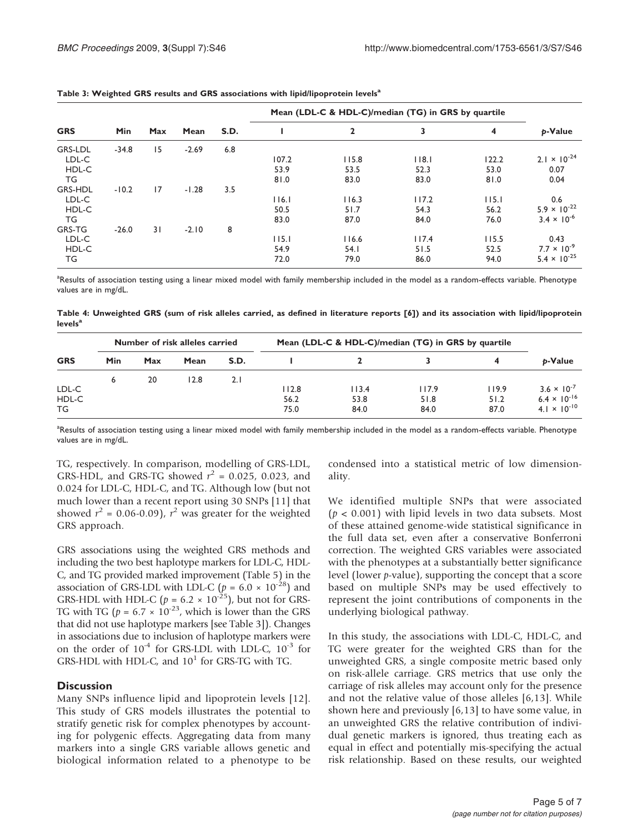| <b>GRS</b>     |         |     |         |      | Mean (LDL-C & HDL-C)/median (TG) in GRS by quartile |              |             |          |                       |
|----------------|---------|-----|---------|------|-----------------------------------------------------|--------------|-------------|----------|-----------------------|
|                | Min     | Max | Mean    | S.D. |                                                     | $\mathbf{2}$ | 3           | 4        | p-Value               |
| <b>GRS-LDL</b> | $-34.8$ | 15  | $-2.69$ | 6.8  |                                                     |              |             |          |                       |
| LDL-C          |         |     |         |      | 107.2                                               | 115.8        | $ $ $ $ 8.1 | 122.2    | $2.1 \times 10^{-24}$ |
| HDL-C          |         |     |         |      | 53.9                                                | 53.5         | 52.3        | 53.0     | 0.07                  |
| TG             |         |     |         |      | 81.0                                                | 83.0         | 83.0        | 81.0     | 0.04                  |
| <b>GRS-HDL</b> | $-10.2$ | 17  | $-1.28$ | 3.5  |                                                     |              |             |          |                       |
| LDL-C          |         |     |         |      | $ $ $ $ 6.1                                         | 116.3        | 117.2       | $ $ 15.1 | 0.6                   |
| HDL-C          |         |     |         |      | 50.5                                                | 51.7         | 54.3        | 56.2     | $5.9 \times 10^{-22}$ |
| TG             |         |     |         |      | 83.0                                                | 87.0         | 84.0        | 76.0     | $3.4 \times 10^{-6}$  |
| GRS-TG         | $-26.0$ | 31  | $-2.10$ | 8    |                                                     |              |             |          |                       |
| LDL-C          |         |     |         |      | 115.1                                               | 116.6        | 117.4       | 115.5    | 0.43                  |
| HDL-C          |         |     |         |      | 54.9                                                | 54.1         | 51.5        | 52.5     | $7.7 \times 10^{-9}$  |
| TG             |         |     |         |      | 72.0                                                | 79.0         | 86.0        | 94.0     | $5.4 \times 10^{-25}$ |

<span id="page-4-0"></span>

<sup>a</sup>Results of association testing using a linear mixed model with family membership included in the model as a random-effects variable. Phenotype values are in mg/dL.

Table 4: Unweighted GRS (sum of risk alleles carried, as defined in literature reports [\[6\]](#page-6-0)) and its association with lipid/lipoprotein levels

|                      |     |     | Number of risk alleles carried |      |                       |                       | Mean (LDL-C & HDL-C)/median (TG) in GRS by quartile |                       |                                                                        |  |
|----------------------|-----|-----|--------------------------------|------|-----------------------|-----------------------|-----------------------------------------------------|-----------------------|------------------------------------------------------------------------|--|
| <b>GRS</b>           | Min | Max | Mean                           | S.D. |                       |                       |                                                     |                       | p-Value                                                                |  |
| LDL-C<br>HDL-C<br>TG | 6   | 20  | 12.8                           | 2.1  | 112.8<br>56.2<br>75.0 | 113.4<br>53.8<br>84.0 | 117.9<br>51.8<br>84.0                               | 119.9<br>51.2<br>87.0 | $3.6 \times 10^{-7}$<br>$6.4 \times 10^{-16}$<br>$4.1 \times 10^{-10}$ |  |

<sup>a</sup>Results of association testing using a linear mixed model with family membership included in the model as a random-effects variable. Phenotype values are in mg/dL.

TG, respectively. In comparison, modelling of GRS-LDL, GRS-HDL, and GRS-TG showed  $r^2 = 0.025$ , 0.023, and 0.024 for LDL-C, HDL-C, and TG. Although low (but not much lower than a recent report using 30 SNPs [\[11](#page-6-0)] that showed  $r^2 = 0.06$ -0.09),  $r^2$  was greater for the weighted GRS approach.

GRS associations using the weighted GRS methods and including the two best haplotype markers for LDL-C, HDL-C, and TG provided marked improvement [\(Table 5\)](#page-5-0) in the association of GRS-LDL with LDL-C ( $p = 6.0 \times 10^{-28}$ ) and GRS-HDL with HDL-C ( $p = 6.2 \times 10^{-25}$ ), but not for GRS-TG with TG ( $p = 6.7 \times 10^{-23}$ , which is lower than the GRS that did not use haplotype markers [see Table 3]). Changes in associations due to inclusion of haplotype markers were on the order of 10-4 for GRS-LDL with LDL-C, 10-3 for GRS-HDL with HDL-C, and  $10^1$  for GRS-TG with TG.

## **Discussion**

Many SNPs influence lipid and lipoprotein levels [\[12](#page-6-0)]. This study of GRS models illustrates the potential to stratify genetic risk for complex phenotypes by accounting for polygenic effects. Aggregating data from many markers into a single GRS variable allows genetic and biological information related to a phenotype to be

condensed into a statistical metric of low dimensionality.

We identified multiple SNPs that were associated  $(p < 0.001)$  with lipid levels in two data subsets. Most of these attained genome-wide statistical significance in the full data set, even after a conservative Bonferroni correction. The weighted GRS variables were associated with the phenotypes at a substantially better significance level (lower p-value), supporting the concept that a score based on multiple SNPs may be used effectively to represent the joint contributions of components in the underlying biological pathway.

In this study, the associations with LDL-C, HDL-C, and TG were greater for the weighted GRS than for the unweighted GRS, a single composite metric based only on risk-allele carriage. GRS metrics that use only the carriage of risk alleles may account only for the presence and not the relative value of those alleles [[6](#page-6-0),[13\]](#page-6-0). While shown here and previously [[6](#page-6-0),[13\]](#page-6-0) to have some value, in an unweighted GRS the relative contribution of individual genetic markers is ignored, thus treating each as equal in effect and potentially mis-specifying the actual risk relationship. Based on these results, our weighted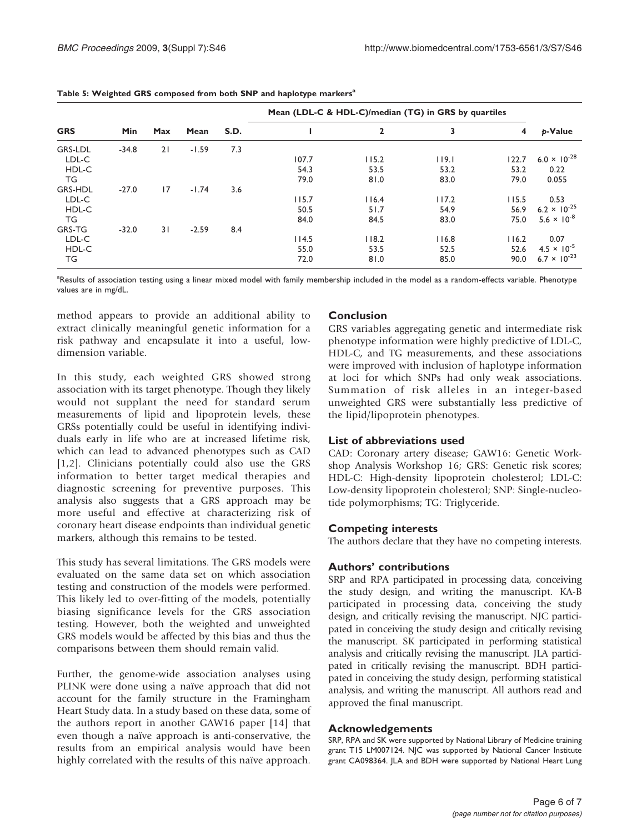| <b>GRS</b>              |            |            |         | S.D. | Mean (LDL-C & HDL-C)/median (TG) in GRS by quartiles |                       |                       |                       |                                                       |
|-------------------------|------------|------------|---------|------|------------------------------------------------------|-----------------------|-----------------------|-----------------------|-------------------------------------------------------|
|                         | <b>Min</b> | <b>Max</b> | Mean    |      |                                                      | $\mathbf 2$           | 3                     | 4                     | p-Value                                               |
| <b>GRS-LDL</b><br>LDL-C | $-34.8$    | 21         | $-1.59$ | 7.3  | 107.7                                                | 115.2                 | 119.1                 | 122.7                 | $6.0 \times 10^{-28}$                                 |
| HDL-C<br>TG             |            |            |         |      | 54.3<br>79.0                                         | 53.5<br>81.0          | 53.2<br>83.0          | 53.2<br>79.0          | 0.22<br>0.055                                         |
| <b>GRS-HDL</b><br>LDL-C | $-27.0$    | 17         | $-1.74$ | 3.6  | 115.7                                                | 116.4                 | 117.2                 | 115.5                 | 0.53                                                  |
| HDL-C<br>TG<br>GRS-TG   | $-32.0$    | 31         | $-2.59$ |      | 50.5<br>84.0                                         | 51.7<br>84.5          | 54.9<br>83.0          | 56.9<br>75.0          | $6.2 \times 10^{-25}$<br>$5.6 \times 10^{-8}$         |
| LDL-C<br>HDL-C<br>TG    |            |            |         | 8.4  | 114.5<br>55.0<br>72.0                                | 118.2<br>53.5<br>81.0 | 116.8<br>52.5<br>85.0 | 116.2<br>52.6<br>90.0 | 0.07<br>$4.5 \times 10^{-5}$<br>$6.7 \times 10^{-23}$ |

<span id="page-5-0"></span>Table 5: Weighted GRS composed from both SNP and haplotype markers<sup>a</sup>

<sup>a</sup>Results of association testing using a linear mixed model with family membership included in the model as a random-effects variable. Phenotype values are in mg/dL.

method appears to provide an additional ability to extract clinically meaningful genetic information for a risk pathway and encapsulate it into a useful, lowdimension variable.

In this study, each weighted GRS showed strong association with its target phenotype. Though they likely would not supplant the need for standard serum measurements of lipid and lipoprotein levels, these GRSs potentially could be useful in identifying individuals early in life who are at increased lifetime risk, which can lead to advanced phenotypes such as CAD [[1](#page-6-0),[2](#page-6-0)]. Clinicians potentially could also use the GRS information to better target medical therapies and diagnostic screening for preventive purposes. This analysis also suggests that a GRS approach may be more useful and effective at characterizing risk of coronary heart disease endpoints than individual genetic markers, although this remains to be tested.

This study has several limitations. The GRS models were evaluated on the same data set on which association testing and construction of the models were performed. This likely led to over-fitting of the models, potentially biasing significance levels for the GRS association testing. However, both the weighted and unweighted GRS models would be affected by this bias and thus the comparisons between them should remain valid.

Further, the genome-wide association analyses using PLINK were done using a naïve approach that did not account for the family structure in the Framingham Heart Study data. In a study based on these data, some of the authors report in another GAW16 paper [[14\]](#page-6-0) that even though a naïve approach is anti-conservative, the results from an empirical analysis would have been highly correlated with the results of this naïve approach.

## Conclusion

GRS variables aggregating genetic and intermediate risk phenotype information were highly predictive of LDL-C, HDL-C, and TG measurements, and these associations were improved with inclusion of haplotype information at loci for which SNPs had only weak associations. Summation of risk alleles in an integer-based unweighted GRS were substantially less predictive of the lipid/lipoprotein phenotypes.

## List of abbreviations used

CAD: Coronary artery disease; GAW16: Genetic Workshop Analysis Workshop 16; GRS: Genetic risk scores; HDL-C: High-density lipoprotein cholesterol; LDL-C: Low-density lipoprotein cholesterol; SNP: Single-nucleotide polymorphisms; TG: Triglyceride.

## Competing interests

The authors declare that they have no competing interests.

## Authors' contributions

SRP and RPA participated in processing data, conceiving the study design, and writing the manuscript. KA-B participated in processing data, conceiving the study design, and critically revising the manuscript. NJC participated in conceiving the study design and critically revising the manuscript. SK participated in performing statistical analysis and critically revising the manuscript. JLA participated in critically revising the manuscript. BDH participated in conceiving the study design, performing statistical analysis, and writing the manuscript. All authors read and approved the final manuscript.

## Acknowledgements

SRP, RPA and SK were supported by National Library of Medicine training grant T15 LM007124. NJC was supported by National Cancer Institute grant CA098364. JLA and BDH were supported by National Heart Lung